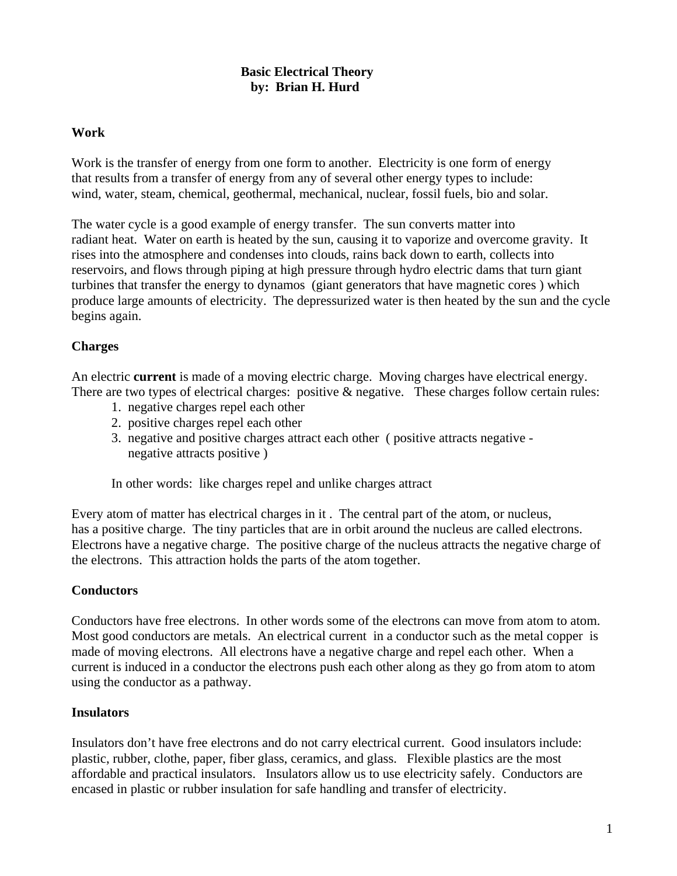## **Basic Electrical Theory by: Brian H. Hurd**

#### **Work**

Work is the transfer of energy from one form to another. Electricity is one form of energy that results from a transfer of energy from any of several other energy types to include: wind, water, steam, chemical, geothermal, mechanical, nuclear, fossil fuels, bio and solar.

The water cycle is a good example of energy transfer. The sun converts matter into radiant heat. Water on earth is heated by the sun, causing it to vaporize and overcome gravity. It rises into the atmosphere and condenses into clouds, rains back down to earth, collects into reservoirs, and flows through piping at high pressure through hydro electric dams that turn giant turbines that transfer the energy to dynamos (giant generators that have magnetic cores ) which produce large amounts of electricity. The depressurized water is then heated by the sun and the cycle begins again.

## **Charges**

An electric **current** is made of a moving electric charge. Moving charges have electrical energy. There are two types of electrical charges: positive & negative. These charges follow certain rules:

- 1. negative charges repel each other
- 2. positive charges repel each other
- 3. negative and positive charges attract each other ( positive attracts negative negative attracts positive )

In other words: like charges repel and unlike charges attract

Every atom of matter has electrical charges in it . The central part of the atom, or nucleus, has a positive charge. The tiny particles that are in orbit around the nucleus are called electrons. Electrons have a negative charge. The positive charge of the nucleus attracts the negative charge of the electrons. This attraction holds the parts of the atom together.

#### **Conductors**

Conductors have free electrons. In other words some of the electrons can move from atom to atom. Most good conductors are metals. An electrical current in a conductor such as the metal copper is made of moving electrons. All electrons have a negative charge and repel each other. When a current is induced in a conductor the electrons push each other along as they go from atom to atom using the conductor as a pathway.

#### **Insulators**

Insulators don't have free electrons and do not carry electrical current. Good insulators include: plastic, rubber, clothe, paper, fiber glass, ceramics, and glass. Flexible plastics are the most affordable and practical insulators. Insulators allow us to use electricity safely. Conductors are encased in plastic or rubber insulation for safe handling and transfer of electricity.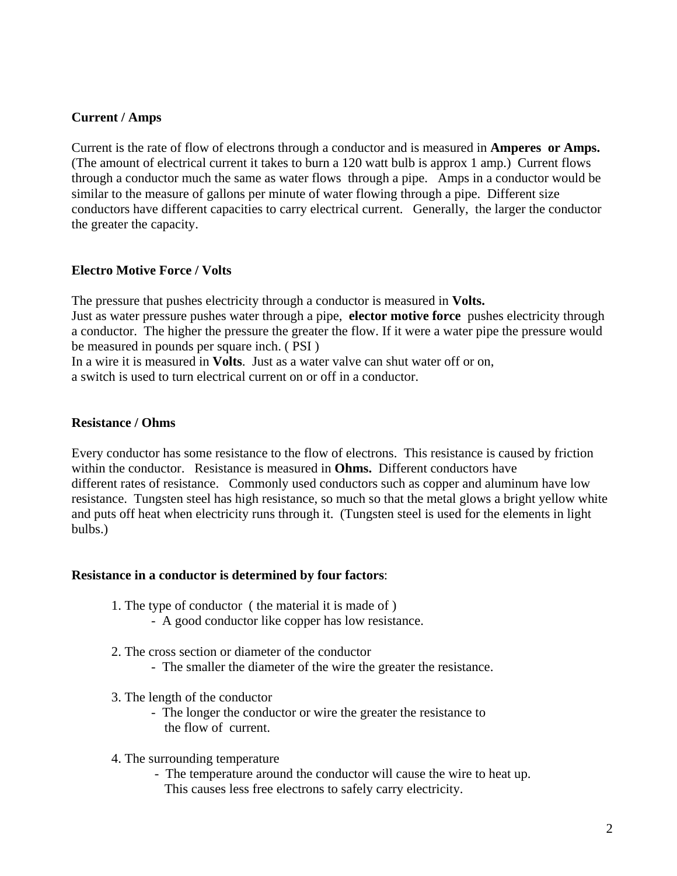## **Current / Amps**

Current is the rate of flow of electrons through a conductor and is measured in **Amperes or Amps.** (The amount of electrical current it takes to burn a 120 watt bulb is approx 1 amp.) Current flows through a conductor much the same as water flows through a pipe. Amps in a conductor would be similar to the measure of gallons per minute of water flowing through a pipe. Different size conductors have different capacities to carry electrical current. Generally, the larger the conductor the greater the capacity.

#### **Electro Motive Force / Volts**

The pressure that pushes electricity through a conductor is measured in **Volts.** Just as water pressure pushes water through a pipe, **elector motive force** pushes electricity through a conductor. The higher the pressure the greater the flow. If it were a water pipe the pressure would be measured in pounds per square inch. ( PSI )

In a wire it is measured in **Volts**. Just as a water valve can shut water off or on,

a switch is used to turn electrical current on or off in a conductor.

#### **Resistance / Ohms**

Every conductor has some resistance to the flow of electrons. This resistance is caused by friction within the conductor. Resistance is measured in **Ohms.** Different conductors have different rates of resistance. Commonly used conductors such as copper and aluminum have low resistance. Tungsten steel has high resistance, so much so that the metal glows a bright yellow white and puts off heat when electricity runs through it. (Tungsten steel is used for the elements in light bulbs.)

#### **Resistance in a conductor is determined by four factors**:

- 1. The type of conductor ( the material it is made of )
	- A good conductor like copper has low resistance.
- 2. The cross section or diameter of the conductor
	- The smaller the diameter of the wire the greater the resistance.
- 3. The length of the conductor
	- The longer the conductor or wire the greater the resistance to the flow of current.
- 4. The surrounding temperature
	- The temperature around the conductor will cause the wire to heat up. This causes less free electrons to safely carry electricity.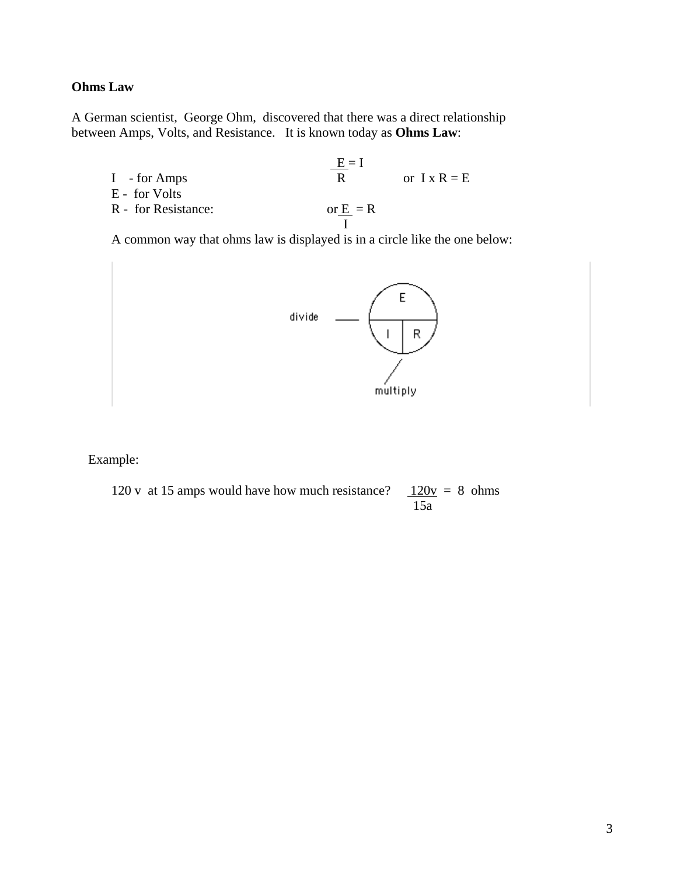#### **Ohms Law**

A German scientist, George Ohm, discovered that there was a direct relationship between Amps, Volts, and Resistance. It is known today as **Ohms Law**:

 $\underline{E} = I$ I - for Amps R or  $I \times R = E$  E - for Volts R - for Resistance:  $or \frac{E}{I} = R$ I

A common way that ohms law is displayed is in a circle like the one below:



Example:

120 v at 15 amps would have how much resistance?  $120v = 8$  ohms 15a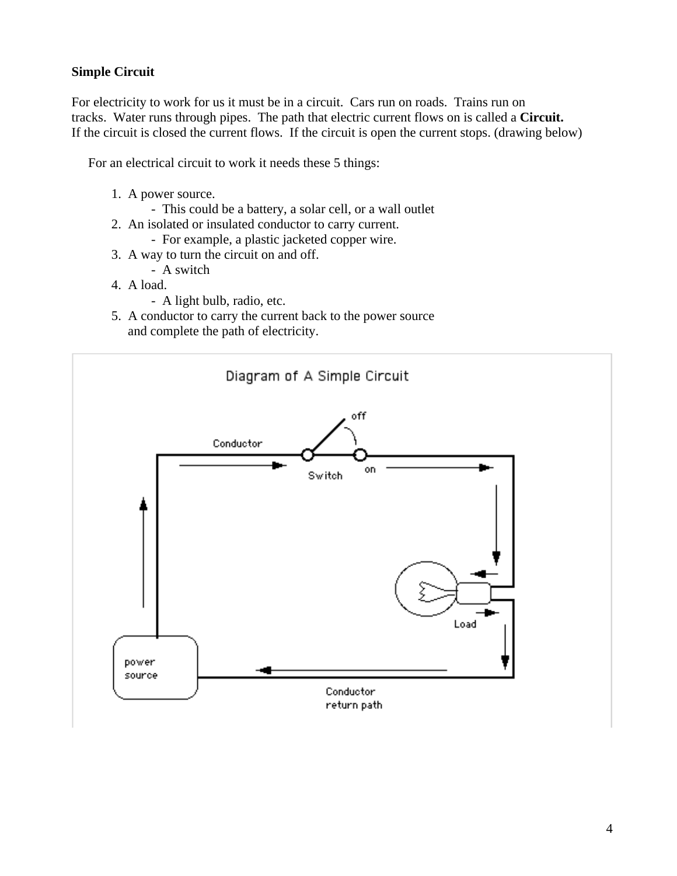## **Simple Circuit**

For electricity to work for us it must be in a circuit. Cars run on roads. Trains run on tracks. Water runs through pipes. The path that electric current flows on is called a **Circuit.**  If the circuit is closed the current flows. If the circuit is open the current stops. (drawing below)

For an electrical circuit to work it needs these 5 things:

- 1. A power source.
	- This could be a battery, a solar cell, or a wall outlet
- 2. An isolated or insulated conductor to carry current.
	- For example, a plastic jacketed copper wire.
- 3. A way to turn the circuit on and off.
- A switch
- 4. A load.
	- A light bulb, radio, etc.
- 5. A conductor to carry the current back to the power source and complete the path of electricity.

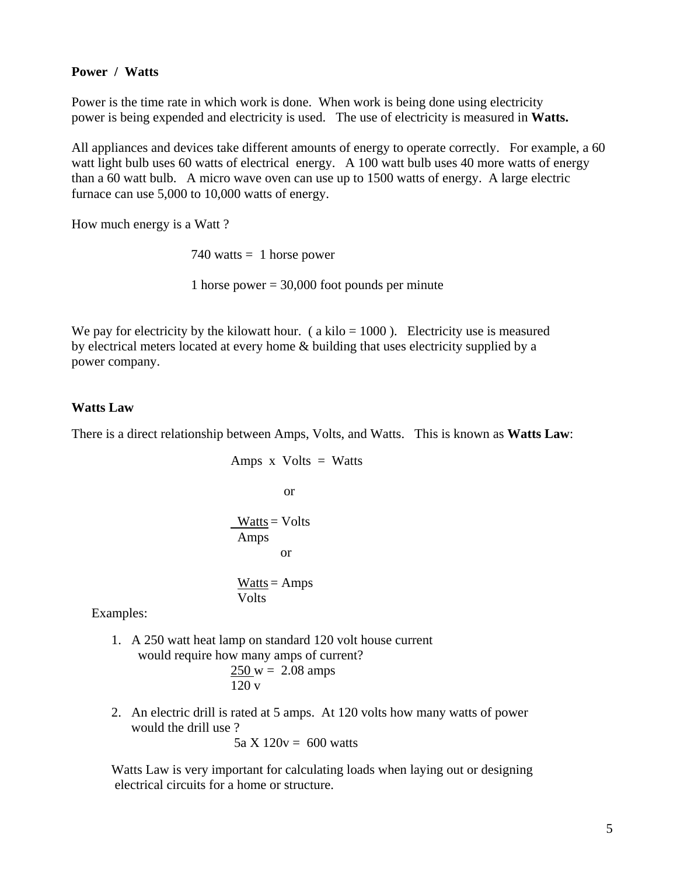#### **Power / Watts**

Power is the time rate in which work is done. When work is being done using electricity power is being expended and electricity is used. The use of electricity is measured in **Watts.**

All appliances and devices take different amounts of energy to operate correctly. For example, a 60 watt light bulb uses 60 watts of electrical energy. A 100 watt bulb uses 40 more watts of energy than a 60 watt bulb. A micro wave oven can use up to 1500 watts of energy. A large electric furnace can use 5,000 to 10,000 watts of energy.

How much energy is a Watt ?

 $740$  watts = 1 horse power

1 horse power  $= 30,000$  foot pounds per minute

We pay for electricity by the kilowatt hour. (a kilo  $= 1000$ ). Electricity use is measured by electrical meters located at every home & building that uses electricity supplied by a power company.

#### **Watts Law**

There is a direct relationship between Amps, Volts, and Watts. This is known as **Watts Law**:

Amps x Volts = Watts

\nor

\n
$$
\frac{\text{Watts}}{\text{Amps}} = \text{Volts}
$$
\nor

\n
$$
\frac{\text{Watts}}{\text{Ot}} = \text{Amps}
$$
\nor

\n
$$
\frac{\text{Watts}}{\text{Volts}} = \text{Amps}
$$

Examples:

- 1. A 250 watt heat lamp on standard 120 volt house current would require how many amps of current?  $250 \text{ w} = 2.08 \text{ amps}$ 120 v
- 2. An electric drill is rated at 5 amps. At 120 volts how many watts of power would the drill use ?

5a  $X$  120 $v = 600$  watts

 Watts Law is very important for calculating loads when laying out or designing electrical circuits for a home or structure.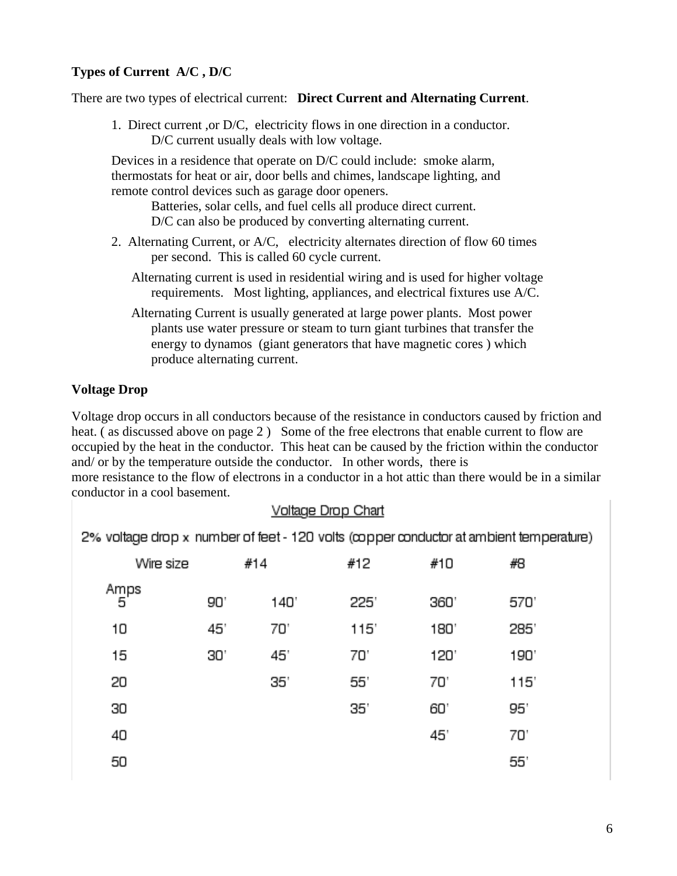## **Types of Current A/C , D/C**

There are two types of electrical current: **Direct Current and Alternating Current**.

 1. Direct current ,or D/C, electricity flows in one direction in a conductor. D/C current usually deals with low voltage.

 Devices in a residence that operate on D/C could include: smoke alarm, thermostats for heat or air, door bells and chimes, landscape lighting, and remote control devices such as garage door openers.

 Batteries, solar cells, and fuel cells all produce direct current. D/C can also be produced by converting alternating current.

- 2. Alternating Current, or A/C, electricity alternates direction of flow 60 times per second. This is called 60 cycle current.
	- Alternating current is used in residential wiring and is used for higher voltage requirements. Most lighting, appliances, and electrical fixtures use A/C.
	- Alternating Current is usually generated at large power plants. Most power plants use water pressure or steam to turn giant turbines that transfer the energy to dynamos (giant generators that have magnetic cores ) which produce alternating current.

#### **Voltage Drop**

Voltage drop occurs in all conductors because of the resistance in conductors caused by friction and heat. (as discussed above on page 2) Some of the free electrons that enable current to flow are occupied by the heat in the conductor. This heat can be caused by the friction within the conductor and/ or by the temperature outside the conductor. In other words, there is more resistance to the flow of electrons in a conductor in a hot attic than there would be in a similar conductor in a cool basement.

## Voltage Drop Chart

2% voltage drop x number of feet - 120 volts (copper conductor at ambient temperature)

| Wire size |     | #14  | #12  | #10  | #8   |
|-----------|-----|------|------|------|------|
| Amps<br>5 | 90' | 140' | 225' | 360' | 570' |
| 10        | 45' | 70'  | 115' | 180' | 285' |
| 15        | 30. | 45'  | 70'  | 120' | 190' |
| 20        |     | 35'  | 55'  | 70'  | 115' |
| 30        |     |      | 35'  | 60'  | 95'  |
| 40        |     |      |      | 45'  | 70'  |
| 50        |     |      |      |      | 55'  |